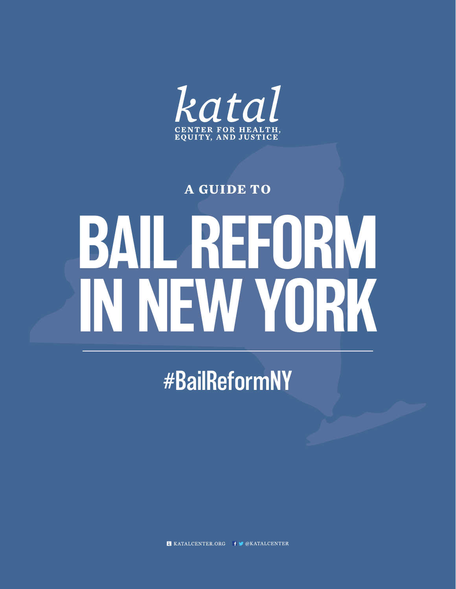

#### **A GUIDE TO**

# BAIL REFORM IN NEW YORK

#BailReformNY

**K** KATALCENTER.ORG F CKATALCENTER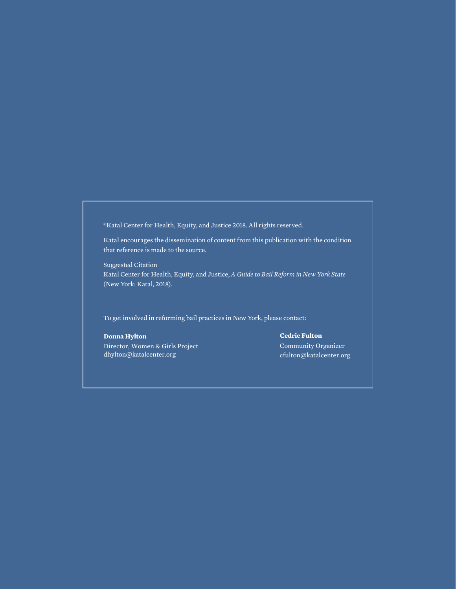©Katal Center for Health, Equity, and Justice 2018. All rights reserved.

Katal encourages the dissemination of content from this publication with the condition that reference is made to the source.

Suggested Citation Katal Center for Health, Equity, and Justice, *A Guide to Bail Reform in New York State* (New York: Katal, 2018).

To get involved in reforming bail practices in New York, please contact:

#### **Donna Hylton**

Director, Women & Girls Project dhylton@katalcenter.org

#### **Cedric Fulton**

Community Organizer cfulton@katalcenter.org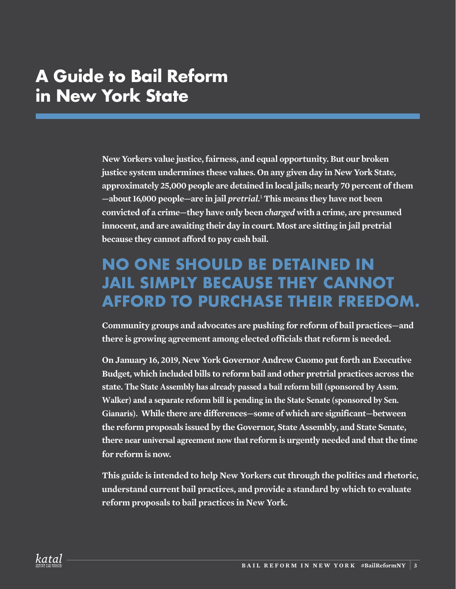#### **A Guide to Bail Reform in New York State**

**New Yorkers value justice, fairness, and equal opportunity. But our broken justice system undermines these values. On any given day in New York State, approximately 25,000 people are detained in local jails; nearly 70 percent of them —about 16,000 people—are in jail** *pretrial.*<sup>1</sup>  **This means they have not been convicted of a crime—they have only been** *charged* **with a crime, are presumed innocent, and are awaiting their day in court. Most are sitting in jail pretrial because they cannot afford to pay cash bail.**

#### **NO ONE SHOULD BE DETAINED IN JAIL SIMPLY BECAUSE THEY CANNOT AFFORD TO PURCHASE THEIR FREEDOM.**

**Community groups and advocates are pushing for reform of bail practices—and there is growing agreement among elected officials that reform is needed.**

**On January 16, 2019, New York Governor Andrew Cuomo put forth an Executive Budget, which included bills to reform bail and other pretrial practices across the state. The State Assembly has already passed a bail reform bill (sponsored by Assm. Walker) and a separate reform bill is pending in the State Senate (sponsored by Sen. Gianaris). While there are differences—some of which are significant—between the reform proposals issued by the Governor, State Assembly, and State Senate, there near universal agreement now that reform is urgently needed and that the time for reform is now.** 

**This guide is intended to help New Yorkers cut through the politics and rhetoric, understand current bail practices, and provide a standard by which to evaluate reform proposals to bail practices in New York.**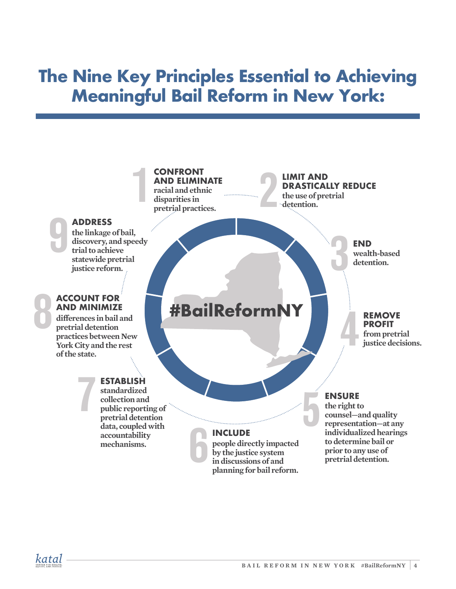#### **The Nine Key Principles Essential to Achieving Meaningful Bail Reform in New York:**

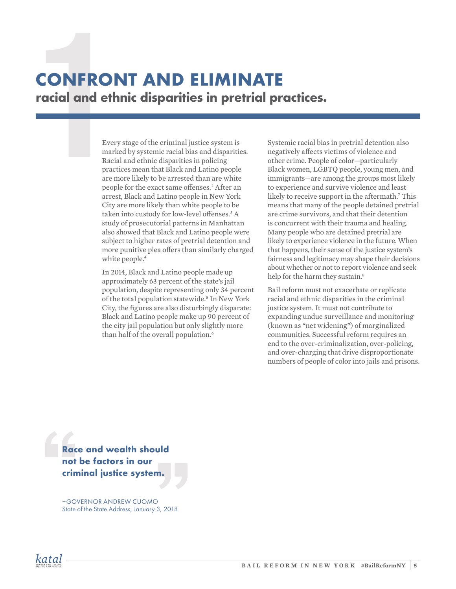## **CONFRONT AND ELIMI**<br> **Tacial and ethnic disparities in pre**<br>
Every stage of the criminal justice system is<br>
marked by systemic racial bias and disparitie<br>
Racial and ethnic disparities in policing<br>
practices mean that Bla **CONFRONT AND ELIMINATE racial and ethnic disparities in pretrial practices.**

marked by systemic racial bias and disparities. Racial and ethnic disparities in policing practices mean that Black and Latino people are more likely to be arrested than are white people for the exact same offenses.<sup>2</sup> After an arrest, Black and Latino people in New York City are more likely than white people to be taken into custody for low-level offenses.<sup>3</sup> A study of prosecutorial patterns in Manhattan also showed that Black and Latino people were subject to higher rates of pretrial detention and more punitive plea offers than similarly charged white people.<sup>4</sup>

In 2014, Black and Latino people made up approximately 63 percent of the state's jail population, despite representing only 34 percent of the total population statewide.<sup>5</sup> In New York City, the figures are also disturbingly disparate: Black and Latino people make up 90 percent of the city jail population but only slightly more than half of the overall population.<sup>6</sup>

Systemic racial bias in pretrial detention also negatively affects victims of violence and other crime. People of color—particularly Black women, LGBTQ people, young men, and immigrants—are among the groups most likely to experience and survive violence and least likely to receive support in the aftermath.<sup>7</sup> This means that many of the people detained pretrial are crime survivors, and that their detention is concurrent with their trauma and healing. Many people who are detained pretrial are likely to experience violence in the future. When that happens, their sense of the justice system's fairness and legitimacy may shape their decisions about whether or not to report violence and seek help for the harm they sustain.<sup>8</sup>

Bail reform must not exacerbate or replicate racial and ethnic disparities in the criminal justice system. It must not contribute to expanding undue surveillance and monitoring (known as "net widening") of marginalized communities. Successful reform requires an end to the over-criminalization, over-policing, and over-charging that drive disproportionate numbers of people of color into jails and prisons.

**Race and wealth should not be factors in our criminal justice system.**

–GOVERNOR ANDREW CUOMO State of the State Address, January 3, 2018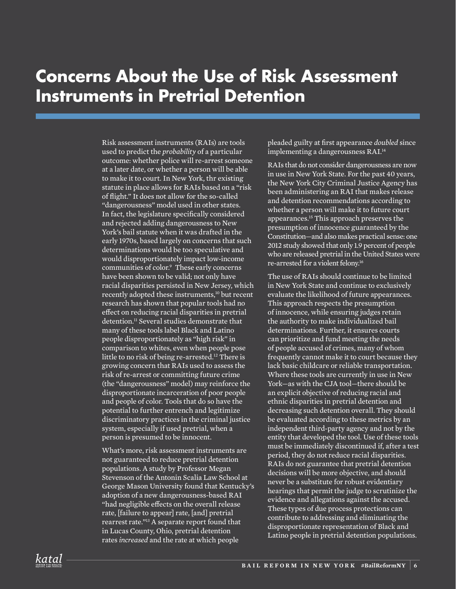#### **Concerns About the Use of Risk Assessment Instruments in Pretrial Detention**

Risk assessment instruments (RAIs) are tools used to predict the *probability* of a particular outcome: whether police will re-arrest someone at a later date, or whether a person will be able to make it to court. In New York, thr existing statute in place allows for RAIs based on a "risk of flight." It does not allow for the so-called "dangerousness" model used in other states. In fact, the legislature specifically considered and rejected adding dangerousness to New York's bail statute when it was drafted in the early 1970s, based largely on concerns that such determinations would be too speculative and would disproportionately impact low-income communities of color.9 These early concerns have been shown to be valid; not only have racial disparities persisted in New Jersey, which recently adopted these instruments,<sup>10</sup> but recent research has shown that popular tools had no effect on reducing racial disparities in pretrial detention.<sup>11</sup> Several studies demonstrate that many of these tools label Black and Latino people disproportionately as "high risk" in comparison to whites, even when people pose little to no risk of being re-arrested.<sup>12</sup> There is growing concern that RAIs used to assess the risk of re-arrest or committing future crime (the "dangerousness" model) may reinforce the disproportionate incarceration of poor people and people of color. Tools that do so have the potential to further entrench and legitimize discriminatory practices in the criminal justice system, especially if used pretrial, when a person is presumed to be innocent.

What's more, risk assessment instruments are not guaranteed to reduce pretrial detention populations. A study by Professor Megan Stevenson of the Antonin Scalia Law School at George Mason University found that Kentucky's adoption of a new dangerousness-based RAI "had negligible effects on the overall release rate, [failure to appear] rate, [and] pretrial rearrest rate."13 A separate report found that in Lucas County, Ohio, pretrial detention rates *increased* and the rate at which people

pleaded guilty at first appearance *doubled* since implementing a dangerousness RAI.<sup>14</sup>

RAIs that do not consider dangerousness are now in use in New York State. For the past 40 years, the New York City Criminal Justice Agency has been administering an RAI that makes release and detention recommendations according to whether a person will make it to future court appearances.15 This approach preserves the presumption of innocence guaranteed by the Constitution—and also makes practical sense: one 2012 study showed that only 1.9 percent of people who are released pretrial in the United States were re-arrested for a violent felony.16

The use of RAIs should continue to be limited in New York State and continue to exclusively evaluate the likelihood of future appearances. This approach respects the presumption of innocence, while ensuring judges retain the authority to make individualized bail determinations. Further, it ensures courts can prioritize and fund meeting the needs of people accused of crimes, many of whom frequently cannot make it to court because they lack basic childcare or reliable transportation. Where these tools are currently in use in New York—as with the CJA tool—there should be an explicit objective of reducing racial and ethnic disparities in pretrial detention and decreasing such detention overall. They should be evaluated according to these metrics by an independent third-party agency and not by the entity that developed the tool. Use of these tools must be immediately discontinued if, after a test period, they do not reduce racial disparities. RAIs do not guarantee that pretrial detention decisions will be more objective, and should never be a substitute for robust evidentiary hearings that permit the judge to scrutinize the evidence and allegations against the accused. These types of due process protections can contribute to addressing and eliminating the disproportionate representation of Black and Latino people in pretrial detention populations.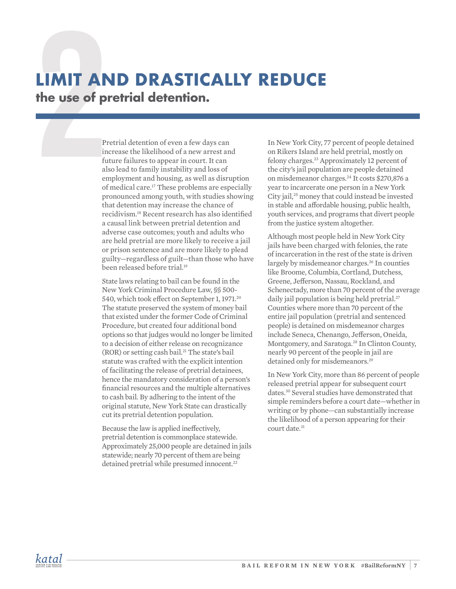## **LIMIT AND DRASTICAL**<br> **The use of pretrial detention.**<br>
Pretrial detention of even a few days can<br>
increase the likelihood of a new arrest an<br>
future failures to appear in court. It can<br>
also lead to family instability an **LIMIT AND DRASTICALLY REDUCE the use of pretrial detention.**

increase the likelihood of a new arrest and future failures to appear in court. It can also lead to family instability and loss of employment and housing, as well as disruption of medical care.17 These problems are especially pronounced among youth, with studies showing that detention may increase the chance of recidivism.18 Recent research has also identified a causal link between pretrial detention and adverse case outcomes; youth and adults who are held pretrial are more likely to receive a jail or prison sentence and are more likely to plead guilty—regardless of guilt—than those who have been released before trial.19

State laws relating to bail can be found in the New York Criminal Procedure Law, §§ 500- 540, which took effect on September 1, 1971.20 The statute preserved the system of money bail that existed under the former Code of Criminal Procedure, but created four additional bond options so that judges would no longer be limited to a decision of either release on recognizance (ROR) or setting cash bail. 21 The state's bail statute was crafted with the explicit intention of facilitating the release of pretrial detainees, hence the mandatory consideration of a person's financial resources and the multiple alternatives to cash bail. By adhering to the intent of the original statute, New York State can drastically cut its pretrial detention population.

Because the law is applied ineffectively, pretrial detention is commonplace statewide. Approximately 25,000 people are detained in jails statewide; nearly 70 percent of them are being detained pretrial while presumed innocent.<sup>22</sup>

In New York City, 77 percent of people detained on Rikers Island are held pretrial, mostly on felony charges.23 Approximately 12 percent of the city's jail population are people detained on misdemeanor charges.24 It costs \$270,876 a year to incarcerate one person in a New York City jail,<sup>25</sup> money that could instead be invested in stable and affordable housing, public health, youth services, and programs that divert people from the justice system altogether.

Although most people held in New York City jails have been charged with felonies, the rate of incarceration in the rest of the state is driven largely by misdemeanor charges.<sup>26</sup> In counties like Broome, Columbia, Cortland, Dutchess, Greene, Jefferson, Nassau, Rockland, and Schenectady, more than 70 percent of the average daily jail population is being held pretrial.<sup>27</sup> Counties where more than 70 percent of the entire jail population (pretrial and sentenced people) is detained on misdemeanor charges include Seneca, Chenango, Jefferson, Oneida, Montgomery, and Saratoga.<sup>28</sup> In Clinton County, nearly 90 percent of the people in jail are detained only for misdemeanors.<sup>29</sup>

In New York City, more than 86 percent of people released pretrial appear for subsequent court dates.30 Several studies have demonstrated that simple reminders before a court date—whether in writing or by phone—can substantially increase the likelihood of a person appearing for their court date.<sup>31</sup>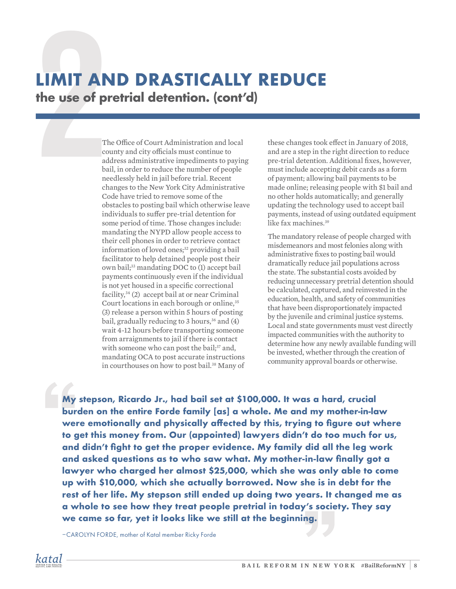## LIMIT AND DRASTICALLY<br>
the use of pretrial detention. (contraction)<br>
The Office of Court Administration and local<br>
county and city officials must continue to<br>
address administrative impediments to payin<br>
bail, in order to **LIMIT AND DRASTICALLY REDUCE the use of pretrial detention. (cont'd)**

county and city officials must continue to address administrative impediments to paying bail, in order to reduce the number of people needlessly held in jail before trial. Recent changes to the New York City Administrative Code have tried to remove some of the obstacles to posting bail which otherwise leave individuals to suffer pre-trial detention for some period of time. Those changes include: mandating the NYPD allow people access to their cell phones in order to retrieve contact information of loved ones;<sup>32</sup> providing a bail facilitator to help detained people post their own bail;33 mandating DOC to (1) accept bail payments continuously even if the individual is not yet housed in a specific correctional facility,34 (2) accept bail at or near Criminal Court locations in each borough or online,<sup>35</sup> (3) release a person within 5 hours of posting bail, gradually reducing to 3 hours,  $36$  and (4) wait 4-12 hours before transporting someone from arraignments to jail if there is contact with someone who can post the bail;<sup>37</sup> and, mandating OCA to post accurate instructions in courthouses on how to post bail.<sup>38</sup> Many of

these changes took effect in January of 2018, and are a step in the right direction to reduce pre-trial detention. Additional fixes, however, must include accepting debit cards as a form of payment; allowing bail payments to be made online; releasing people with \$1 bail and no other holds automatically; and generally updating the technology used to accept bail payments, instead of using outdated equipment like fax machines<sup>39</sup>

The mandatory release of people charged with misdemeanors and most felonies along with administrative fixes to posting bail would dramatically reduce jail populations across the state. The substantial costs avoided by reducing unnecessary pretrial detention should be calculated, captured, and reinvested in the education, health, and safety of communities that have been disproportionately impacted by the juvenile and criminal justice systems. Local and state governments must vest directly impacted communities with the authority to determine how any newly available funding will be invested, whether through the creation of community approval boards or otherwise.

**My stepson, Ricardo Jr., had bail set at \$100,000. It was a hard, crucial burden on the entire Forde family [as] a whole. Me and my mother-in-law were emotionally and physically affected by this, trying to figure out where to get this money from. Our (appointed) lawyers didn't do too much for us, and didn't fight to get the proper evidence. My family did all the leg work and asked questions as to who saw what. My mother-in-law finally got a lawyer who charged her almost \$25,000, which she was only able to come up with \$10,000, which she actually borrowed. Now she is in debt for the rest of her life. My stepson still ended up doing two years. It changed me as a whole to see how they treat people pretrial in today's society. They say we came so far, yet it looks like we still at the beginning.**

–CAROLYN FORDE, mother of Katal member Ricky Forde

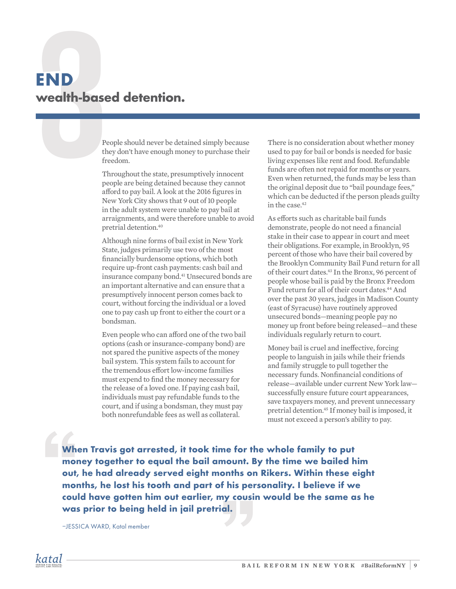## **END**<br> **Signals wealth-based detention.**<br>
People should never be detained simply because<br>
they don't have enough money to purchase their<br>
freedom.<br>
Throughout the state, presumptively innocent<br>
people are being detained be **END wealth-based detention.**

they don't have enough money to purchase their freedom.

Throughout the state, presumptively innocent people are being detained because they cannot afford to pay bail. A look at the 2016 figures in New York City shows that 9 out of 10 people in the adult system were unable to pay bail at arraignments, and were therefore unable to avoid pretrial detention.40

Although nine forms of bail exist in New York State, judges primarily use two of the most financially burdensome options, which both require up-front cash payments: cash bail and insurance company bond.<sup>41</sup> Unsecured bonds are an important alternative and can ensure that a presumptively innocent person comes back to court, without forcing the individual or a loved one to pay cash up front to either the court or a bondsman.

Even people who can afford one of the two bail options (cash or insurance-company bond) are not spared the punitive aspects of the money bail system. This system fails to account for the tremendous effort low-income families must expend to find the money necessary for the release of a loved one. If paying cash bail, individuals must pay refundable funds to the court, and if using a bondsman, they must pay both nonrefundable fees as well as collateral.

There is no consideration about whether money used to pay for bail or bonds is needed for basic living expenses like rent and food. Refundable funds are often not repaid for months or years. Even when returned, the funds may be less than the original deposit due to "bail poundage fees," which can be deducted if the person pleads guilty in the case  $42$ 

As efforts such as charitable bail funds demonstrate, people do not need a financial stake in their case to appear in court and meet their obligations. For example, in Brooklyn, 95 percent of those who have their bail covered by the Brooklyn Community Bail Fund return for all of their court dates.<sup>43</sup> In the Bronx, 96 percent of people whose bail is paid by the Bronx Freedom Fund return for all of their court dates.<sup>44</sup> And over the past 30 years, judges in Madison County (east of Syracuse) have routinely approved unsecured bonds—meaning people pay no money up front before being released—and these individuals regularly return to court.

Money bail is cruel and ineffective, forcing people to languish in jails while their friends and family struggle to pull together the necessary funds. Nonfinancial conditions of release—available under current New York law successfully ensure future court appearances, save taxpayers money, and prevent unnecessary pretrial detention.45 If money bail is imposed, it must not exceed a person's ability to pay.

**When Travis got arrested, it took time for the whole family to put money together to equal the bail amount. By the time we bailed him out, he had already served eight months on Rikers. Within these eight months, he lost his tooth and part of his personality. I believe if we could have gotten him out earlier, my cousin would be the same as he was prior to being held in jail pretrial.**

–JESSICA WARD, Katal member

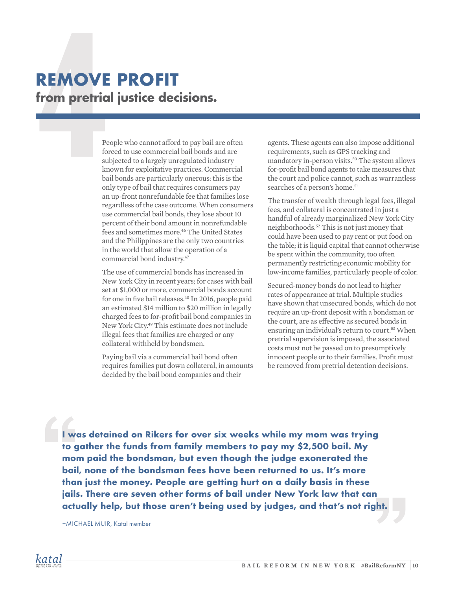## REMOVE PROFIT<br>
from pretrial justice decisions.<br>
People who cannot afford to pay bail are often<br>
forced to use commercial bail bonds and are<br>
subjected to a largely unregulated industry<br>
known for exploitative practices. C **REMOVE PROFIT from pretrial justice decisions.**

forced to use commercial bail bonds and are subjected to a largely unregulated industry known for exploitative practices. Commercial bail bonds are particularly onerous: this is the only type of bail that requires consumers pay an up-front nonrefundable fee that families lose regardless of the case outcome. When consumers use commercial bail bonds, they lose about 10 percent of their bond amount in nonrefundable fees and sometimes more.<sup>46</sup> The United States and the Philippines are the only two countries in the world that allow the operation of a commercial bond industry.47

The use of commercial bonds has increased in New York City in recent years; for cases with bail set at \$1,000 or more, commercial bonds account for one in five bail releases.<sup>48</sup> In 2016, people paid an estimated \$14 million to \$20 million in legally charged fees to for-profit bail bond companies in New York City.49 This estimate does not include illegal fees that families are charged or any collateral withheld by bondsmen.

Paying bail via a commercial bail bond often requires families put down collateral, in amounts decided by the bail bond companies and their

agents. These agents can also impose additional requirements, such as GPS tracking and mandatory in-person visits.<sup>50</sup> The system allows for-profit bail bond agents to take measures that the court and police cannot, such as warrantless searches of a person's home.<sup>51</sup>

The transfer of wealth through legal fees, illegal fees, and collateral is concentrated in just a handful of already marginalized New York City neighborhoods.52 This is not just money that could have been used to pay rent or put food on the table; it is liquid capital that cannot otherwise be spent within the community, too often permanently restricting economic mobility for low-income families, particularly people of color.

Secured-money bonds do not lead to higher rates of appearance at trial. Multiple studies have shown that unsecured bonds, which do not require an up-front deposit with a bondsman or the court, are as effective as secured bonds in ensuring an individual's return to court.<sup>53</sup> When pretrial supervision is imposed, the associated costs must not be passed on to presumptively innocent people or to their families. Profit must be removed from pretrial detention decisions.

**I was detained on Rikers for over six weeks while my mom was trying to gather the funds from family members to pay my \$2,500 bail. My mom paid the bondsman, but even though the judge exonerated the bail, none of the bondsman fees have been returned to us. It's more than just the money. People are getting hurt on a daily basis in these jails. There are seven other forms of bail under New York law that can actually help, but those aren't being used by judges, and that's not right.**

–MICHAEL MUIR, Katal member

![](_page_9_Picture_9.jpeg)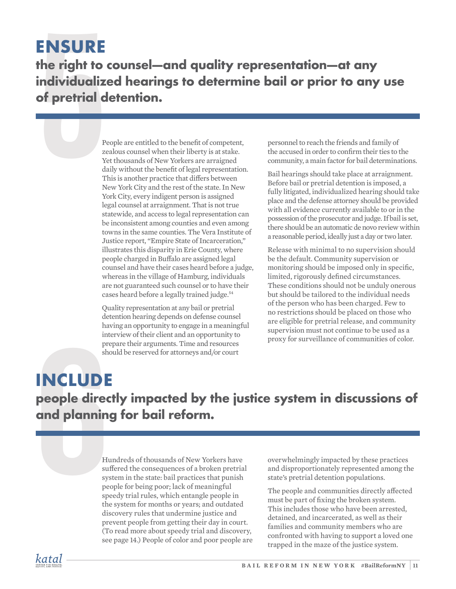#### **ENSURE**

**ENSURE**<br> **the right to counsel—and quality re**<br> **individualized hearings to determical of pretrial detention.**<br>
People are entitled to the benefit of competent,<br>
People are entitled to the benefit of competent,<br>
Yet thous **the right to counsel—and quality representation—at any individualized hearings to determine bail or prior to any use of pretrial detention.**

zealous counsel when their liberty is at stake. Yet thousands of New Yorkers are arraigned daily without the benefit of legal representation. This is another practice that differs between New York City and the rest of the state. In New York City, every indigent person is assigned legal counsel at arraignment. That is not true statewide, and access to legal representation can be inconsistent among counties and even among towns in the same counties. The Vera Institute of Justice report, "Empire State of Incarceration," illustrates this disparity in Erie County, where people charged in Buffalo are assigned legal counsel and have their cases heard before a judge, whereas in the village of Hamburg, individuals are not guaranteed such counsel or to have their cases heard before a legally trained judge.<sup>54</sup>

Quality representation at any bail or pretrial detention hearing depends on defense counsel having an opportunity to engage in a meaningful interview of their client and an opportunity to prepare their arguments. Time and resources should be reserved for attorneys and/or court

personnel to reach the friends and family of the accused in order to confirm their ties to the community, a main factor for bail determinations.

Bail hearings should take place at arraignment. Before bail or pretrial detention is imposed, a fully litigated, individualized hearing should take place and the defense attorney should be provided with all evidence currently available to or in the possession of the prosecutor and judge. If bail is set, there should be an automatic de novo review within a reasonable period, ideally just a day or two later.

Release with minimal to no supervision should be the default. Community supervision or monitoring should be imposed only in specific, limited, rigorously defined circumstances. These conditions should not be unduly onerous but should be tailored to the individual needs of the person who has been charged. Few to no restrictions should be placed on those who are eligible for pretrial release, and community supervision must not continue to be used as a proxy for surveillance of communities of color.

### prepare their arguments. Time and resources<br>should be reserved for attorneys and/or court<br>**NCLUDE**<br>people directly impacted by the ju<br>and planning for bail reform.<br>Hundreds of thousands of New Yorkers have<br>suffered the con **INCLUDE people directly impacted by the justice system in discussions of and planning for bail reform.**

suffered the consequences of a broken pretrial system in the state: bail practices that punish people for being poor; lack of meaningful speedy trial rules, which entangle people in the system for months or years; and outdated discovery rules that undermine justice and prevent people from getting their day in court. (To read more about speedy trial and discovery, see page 14.) People of color and poor people are

overwhelmingly impacted by these practices and disproportionately represented among the state's pretrial detention populations.

The people and communities directly affected must be part of fixing the broken system. This includes those who have been arrested, detained, and incarcerated, as well as their families and community members who are confronted with having to support a loved one trapped in the maze of the justice system.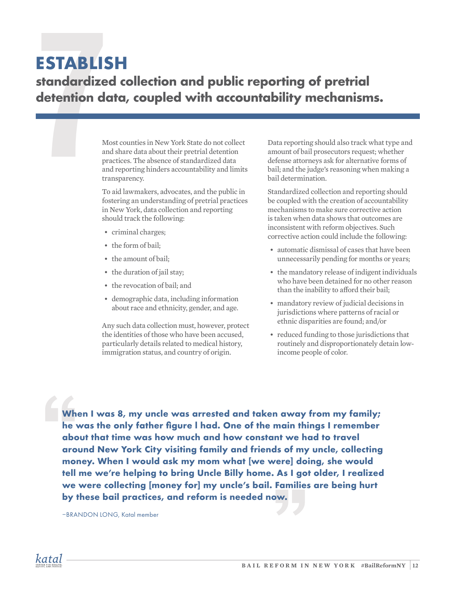#### **ESTABLISH**

## **ESTABLISH**<br> **Standardized collection and public<br>
detention data, coupled with accounties in New York State do not collect<br>
Most counties in New York State do not collect<br>
and share data about their pretrial detention<br>
pra standardized collection and public reporting of pretrial detention data, coupled with accountability mechanisms.**

and share data about their pretrial detention practices. The absence of standardized data and reporting hinders accountability and limits transparency.

To aid lawmakers, advocates, and the public in fostering an understanding of pretrial practices in New York, data collection and reporting should track the following:

- criminal charges;
- the form of bail;
- the amount of bail;
- the duration of jail stay;
- the revocation of bail; and
- demographic data, including information about race and ethnicity, gender, and age.

Any such data collection must, however, protect the identities of those who have been accused, particularly details related to medical history, immigration status, and country of origin.

Data reporting should also track what type and amount of bail prosecutors request; whether defense attorneys ask for alternative forms of bail; and the judge's reasoning when making a bail determination.

Standardized collection and reporting should be coupled with the creation of accountability mechanisms to make sure corrective action is taken when data shows that outcomes are inconsistent with reform objectives. Such corrective action could include the following:

- automatic dismissal of cases that have been unnecessarily pending for months or years;
- the mandatory release of indigent individuals who have been detained for no other reason than the inability to afford their bail;
- mandatory review of judicial decisions in jurisdictions where patterns of racial or ethnic disparities are found; and/or
- reduced funding to those jurisdictions that routinely and disproportionately detain lowincome people of color.

**When I was 8, my uncle was arrested and taken away from my family; he was the only father figure l had. One of the main things I remember about that time was how much and how constant we had to travel around New York City visiting family and friends of my uncle, collecting money. When I would ask my mom what [we were] doing, she would tell me we're helping to bring Uncle Billy home. As I got older, I realized we were collecting [money for] my uncle's bail. Families are being hurt by these bail practices, and reform is needed now.**

–BRANDON LONG, Katal member

![](_page_11_Picture_19.jpeg)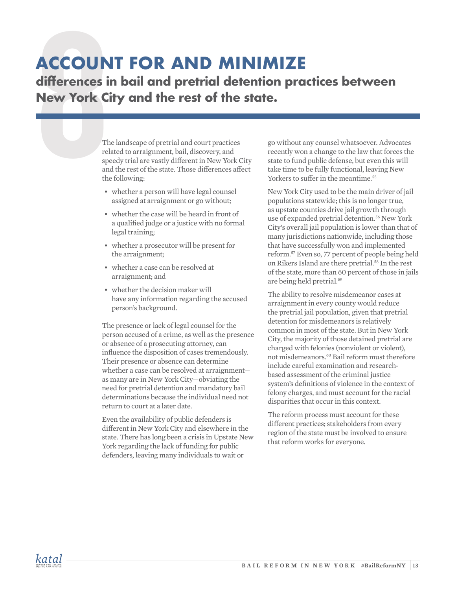### **ACCOUNT FOR AND MINIMIZE**

**differences in bail and pretrial detention practices between New York City and the rest of the state.**

**ACCOUNT FOR AND MI**<br>differences in bail and pretrial det<br>New York City and the rest of the<br>The landscape of pretrial and court practices<br>related to arraignment, bail, discovery, and<br>speedy trial are vastly different in Ne related to arraignment, bail, discovery, and speedy trial are vastly different in New York City and the rest of the state. Those differences affect the following:

- whether a person will have legal counsel assigned at arraignment or go without;
- whether the case will be heard in front of a qualified judge or a justice with no formal legal training;
- whether a prosecutor will be present for the arraignment;
- whether a case can be resolved at arraignment; and
- whether the decision maker will have any information regarding the accused person's background.

The presence or lack of legal counsel for the person accused of a crime, as well as the presence or absence of a prosecuting attorney, can influence the disposition of cases tremendously. Their presence or absence can determine whether a case can be resolved at arraignment as many are in New York City—obviating the need for pretrial detention and mandatory bail determinations because the individual need not return to court at a later date.

Even the availability of public defenders is different in New York City and elsewhere in the state. There has long been a crisis in Upstate New York regarding the lack of funding for public defenders, leaving many individuals to wait or

go without any counsel whatsoever. Advocates recently won a change to the law that forces the state to fund public defense, but even this will take time to be fully functional, leaving New Yorkers to suffer in the meantime.<sup>55</sup>

New York City used to be the main driver of jail populations statewide; this is no longer true, as upstate counties drive jail growth through use of expanded pretrial detention.<sup>56</sup> New York City's overall jail population is lower than that of many jurisdictions nationwide, including those that have successfully won and implemented reform.57 Even so, 77 percent of people being held on Rikers Island are there pretrial.<sup>58</sup> In the rest of the state, more than 60 percent of those in jails are being held pretrial.59

The ability to resolve misdemeanor cases at arraignment in every county would reduce the pretrial jail population, given that pretrial detention for misdemeanors is relatively common in most of the state. But in New York City, the majority of those detained pretrial are charged with felonies (nonviolent or violent), not misdemeanors.<sup>60</sup> Bail reform must therefore include careful examination and researchbased assessment of the criminal justice system's definitions of violence in the context of felony charges, and must account for the racial disparities that occur in this context.

The reform process must account for these different practices; stakeholders from every region of the state must be involved to ensure that reform works for everyone.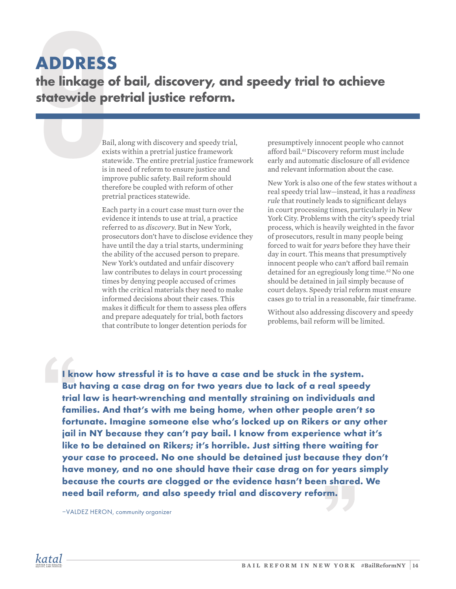#### **ADDRESS**

#### **the linkage of bail, discovery, and speedy trial to achieve statewide pretrial justice reform.**

**ADDRESS**<br> **the linkage of bail, discovery, and<br>
statewide pretrial justice reform.**<br>
Bail, along with discovery and speedy trial,<br>
exists within a pretrial justice framework<br>
statewide. The entire pretrial justice framewo exists within a pretrial justice framework statewide. The entire pretrial justice framework is in need of reform to ensure justice and improve public safety. Bail reform should therefore be coupled with reform of other pretrial practices statewide.

> Each party in a court case must turn over the evidence it intends to use at trial, a practice referred to as *discovery.* But in New York, prosecutors don't have to disclose evidence they have until the day a trial starts, undermining the ability of the accused person to prepare. New York's outdated and unfair discovery law contributes to delays in court processing times by denying people accused of crimes with the critical materials they need to make informed decisions about their cases. This makes it difficult for them to assess plea offers and prepare adequately for trial, both factors that contribute to longer detention periods for

presumptively innocent people who cannot afford bail.<sup>61</sup>Discovery reform must include early and automatic disclosure of all evidence and relevant information about the case.

New York is also one of the few states without a real speedy trial law—instead, it has a *readiness rule* that routinely leads to significant delays in court processing times, particularly in New York City. Problems with the city's speedy trial process, which is heavily weighted in the favor of prosecutors, result in many people being forced to wait for *years* before they have their day in court. This means that presumptively innocent people who can't afford bail remain detained for an egregiously long time.<sup>62</sup> No one should be detained in jail simply because of court delays. Speedy trial reform must ensure cases go to trial in a reasonable, fair timeframe.

Without also addressing discovery and speedy problems, bail reform will be limited.

**I know how stressful it is to have a case and be stuck in the system. But having a case drag on for two years due to lack of a real speedy trial law is heart-wrenching and mentally straining on individuals and families. And that's with me being home, when other people aren't so fortunate. Imagine someone else who's locked up on Rikers or any other jail in NY because they can't pay bail. I know from experience what it's like to be detained on Rikers; it's horrible. Just sitting there waiting for your case to proceed. No one should be detained just because they don't have money, and no one should have their case drag on for years simply because the courts are clogged or the evidence hasn't been shared. We need bail reform, and also speedy trial and discovery reform.**

–VALDEZ HERON, community organizer

![](_page_13_Picture_9.jpeg)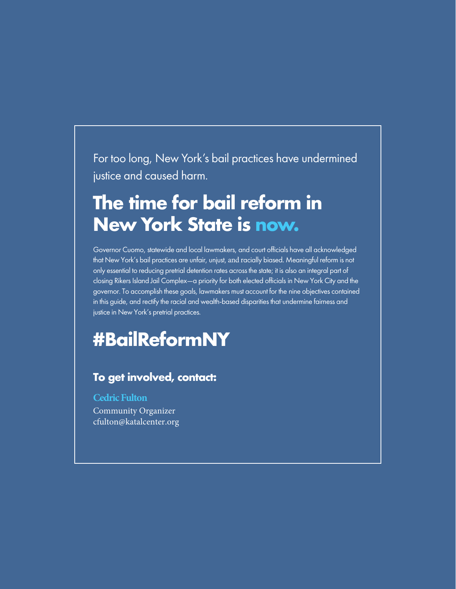For too long, New York's bail practices have undermined justice and caused harm.

### **The time for bail reform in New York State is now.**

Governor Cuomo, statewide and local lawmakers, and court officials have all acknowledged that New York's bail practices are unfair, unjust, and racially biased. Meaningful reform is not only essential to reducing pretrial detention rates across the state; it is also an integral part of closing Rikers Island Jail Complex—a priority for both elected officials in New York City and the governor. To accomplish these goals, lawmakers must account for the nine objectives contained in this guide, and rectify the racial and wealth-based disparities that undermine fairness and justice in New York's pretrial practices.

### **#BailReformNY**

#### **To get involved, contact:**

**Cedric Fulton** Community Organizer cfulton@katalcenter.org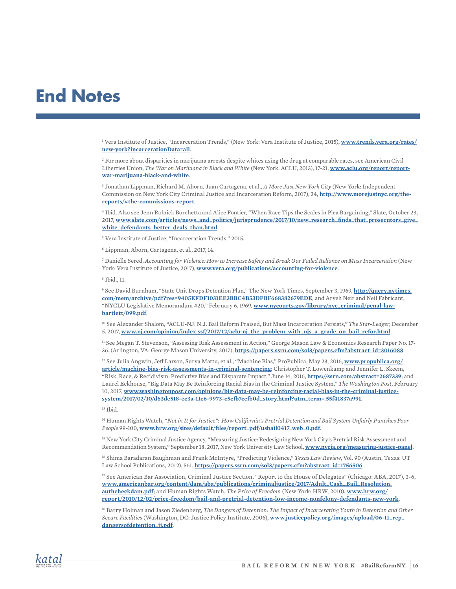#### **End Notes**

1 Vera Institute of Justice, "Incarceration Trends," (New York: Vera Institute of Justice, 2015), **www.trends.vera.org/rates/ new-york?incarcerationData=all**.

2 For more about disparities in marijuana arrests despite whites using the drug at comparable rates, see American Civil Liberties Union, *The War on Marijuana in Black and White* (New York: ACLU, 2013), 17-21, **www.aclu.org/report/reportwar-marijuana-black-and-white**.

3 Jonathan Lippman, Richard M. Aborn, Juan Cartagena, et al., *A More Just New York City* (New York: Independent Commission on New York City Criminal Justice and Incarceration Reform, 2017), 34, **http://www.morejustnyc.org/thereports/#the-commissions-report**.

4 Ibid. Also see Jenn Rolnick Borchetta and Alice Fontier, "When Race Tips the Scales in Plea Bargaining," Slate, October 23, 2017, **www.slate.com/articles/news\_and\_politics/jurisprudence/2017/10/new\_research\_finds\_that\_prosecutors\_give\_ white\_defendants\_better\_deals\_than.html**.

5 Vera Institute of Justice, "Incarceration Trends," 2015.

6 Lippman, Aborn, Cartagena, et al., 2017, 14.

7 Danielle Sered, *Accounting for Violence: How to Increase Safety and Break Our Failed Reliance on Mass Incarceration* (New York: Vera Institute of Justice, 2017), **www.vera.org/publications/accounting-for-violence**.

8 Ibid., 11.

9 See David Burnham, "State Unit Drops Detention Plan," The New York Times, September 3, 1969, **http://query.nytimes. com/mem/archive/pdf?res=9405EFDF1031EE3BBC4B53DFBF668382679EDE**; and Aryeh Neir and Neil Fabricant, "NYCLU Legislative Memorandum #20," February 6, 1969, **www.nycourts.gov/library/nyc\_criminal/penal-lawbartlett/099.pdf**.

10 See Alexander Shalom, "ACLU-NJ: N.J. Bail Reform Praised, But Mass Incarceration Persists," *The Star-Ledger*, December 5, 2017, **www.nj.com/opinion/index.ssf/2017/12/aclu-nj\_the\_problem\_with\_njs\_a\_grade\_on\_bail\_refor.html**.

<sup>11</sup> See Megan T. Stevenson, "Assessing Risk Assessment in Action," George Mason Law & Economics Research Paper No. 17-36. (Arlington, VA: George Mason University, 2017), **https://papers.ssrn.com/sol3/papers.cfm?abstract\_id=3016088**.

12 See Julia Angwin, Jeff Larson, Surya Mattu, et al., "Machine Bias," ProPublica, May 23, 2016, **www.propublica.org/ article/machine-bias-risk-assessments-in-criminal-sentencing**; Christopher T. Lowenkamp and Jennifer L. Skeem, "Risk, Race, & Recidivism: Predictive Bias and Disparate Impact," June 14, 2016, **https://ssrn.com/abstract=2687339**; and Laurel Eckhouse, "Big Data May Be Reinforcing Racial Bias in the Criminal Justice System," *The Washington Post*, February 10, 2017, **www.washingtonpost.com/opinions/big-data-may-be-reinforcing-racial-bias-in-the-criminal-justicesystem/2017/02/10/d63de518-ee3a-11e6-9973-c5efb7ccfb0d\_story.html?utm\_term=.55f41837a991**.

 $13$  Thid.

14 Human Rights Watch, *"Not in It for Justice": How California's Pretrial Detention and Bail System Unfairly Punishes Poor People* 99-100, **www.hrw.org/sites/default/files/report\_pdf/usbail0417\_web\_0.pdf**.

15 New York City Criminal Justice Agency, "Measuring Justice: Redesigning New York City's Pretrial Risk Assessment and Recommendation System," September 18, 2017, New York University Law School, **www.nycja.org/measuring-justice-panel**.

16 Shima Baradaran Baughman and Frank McIntyre, "Predicting Violence," *Texas Law Review*, Vol. 90 (Austin, Texas: UT Law School Publications, 2012), 561, **https://papers.ssrn.com/sol3/papers.cfm?abstract\_id=1756506**.

<sup>17</sup> See American Bar Association, Criminal Justice Section, "Report to the House of Delegates" (Chicago: ABA, 2017), 3-6, **www.americanbar.org/content/dam/aba/publications/criminaljustice/2017/Adult\_Cash\_Bail\_Resolution. authcheckdam.pdf**; and Human Rights Watch, *The Price of Freedom* (New York: HRW, 2010), **www.hrw.org/ report/2010/12/02/price-freedom/bail-and-pretrial-detention-low-income-nonfelony-defendants-new-york**.

<sup>18</sup> Barry Holman and Jason Ziedenberg, *The Dangers of Detention: The Impact of Incarcerating Youth in Detention and Other Secure Facilities* (Washington, DC: Justice Policy Institute, 2006), **www.justicepolicy.org/images/upload/06-11\_rep\_ dangersofdetention\_jj.pdf**.

![](_page_15_Picture_19.jpeg)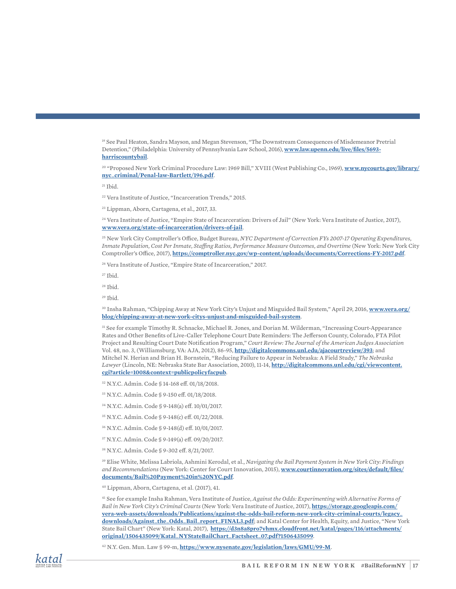19 See Paul Heaton, Sandra Mayson, and Megan Stevenson, "The Downstream Consequences of Misdemeanor Pretrial Detention," (Philadelphia: University of Pennsylvania Law School, 2016), **www.law.upenn.edu/live/files/5693 harriscountybail**.

20 "Proposed New York Criminal Procedure Law: 1969 Bill," XVIII (West Publishing Co., 1969), **www.nycourts.gov/library/ nyc\_criminal/Penal-law-Bartlett/196.pdf**.

 $21$  Ibid.

22 Vera Institute of Justice, "Incarceration Trends," 2015.

23 Lippman, Aborn, Cartagena, et al., 2017, 33.

24 Vera Institute of Justice, "Empire State of Incarceration: Drivers of Jail" (New York: Vera Institute of Justice, 2017), **www.vera.org/state-of-incarceration/drivers-of-jail**.

25 New York City Comptroller's Office, Budget Bureau, *NYC Department of Correction FYs 2007-17 Operating Expenditures, Inmate Population, Cost Per Inmate, Staffing Ratios, Performance Measure Outcomes, and Overtime* (New York: New York City Comptroller's Office, 2017), **https://comptroller.nyc.gov/wp-content/uploads/documents/Corrections-FY-2017.pdf**.

26 Vera Institute of Justice, "Empire State of Incarceration," 2017.

 $27$  Ibid.

28 Ibid.

 $29$  Ibid.

30 Insha Rahman, "Chipping Away at New York City's Unjust and Misguided Bail System," April 29, 2016, **www.vera.org/ blog/chipping-away-at-new-york-citys-unjust-and-misguided-bail-system**.

31 See for example Timothy R. Schnacke, Michael R. Jones, and Dorian M. Wilderman, "Increasing Court-Appearance Rates and Other Benefits of Live-Caller Telephone Court Date Reminders: The Jefferson County, Colorado, FTA Pilot Project and Resulting Court Date Notification Program," *Court Review: The Journal of the American Judges Association* Vol. 48, no. 3, (Williamsburg, VA: AJA, 2012), 86-95, **http://digitalcommons.unl.edu/ajacourtreview/393**; and Mitchel N. Herian and Brian H. Bornstein, "Reducing Failure to Appear in Nebraska: A Field Study," *The Nebraska Lawyer* (Lincoln, NE: Nebraska State Bar Association, 2010), 11-14, **http://digitalcommons.unl.edu/cgi/viewcontent. cgi?article=1008&context=publicpolicyfacpub**.

32 N.Y.C. Admin. Code § 14-168 eff. 01/18/2018.

- 33 N.Y.C. Admin. Code § 9-150 eff. 01/18/2018.
- 34 N.Y.C. Admin. Code § 9-148(a) eff. 10/01/2017.
- 35 N.Y.C. Admin. Code § 9-148(c) eff. 01/22/2018.
- 36 N.Y.C. Admin. Code § 9-148(d) eff. 10/01/2017.
- 37 N.Y.C. Admin. Code § 9-149(a) eff. 09/20/2017.
- 38 N.Y.C. Admin. Code § 9-302 eff. 8/21/2017.

39 Elise White, Melissa Labriola, Ashmini Kerodal, et al., *Navigating the Bail Payment System in New York City: Findings and Recommendations* (New York: Center for Court Innovation, 2015), **www.courtinnovation.org/sites/default/files/ documents/Bail%20Payment%20in%20NYC.pdf**.

40 Lippman, Aborn, Cartagena, et al. (2017), 41.

41 See for example Insha Rahman, Vera Institute of Justice, *Against the Odds: Experimenting with Alternative Forms of Bail in New York City's Criminal Courts* (New York: Vera Institute of Justice, 2017), **https://storage.googleapis.com/ vera-web-assets/downloads/Publications/against-the-odds-bail-reform-new-york-city-criminal-courts/legacy\_ downloads/Against\_the\_Odds\_Bail\_report\_FINAL3.pdf**; and Katal Center for Health, Equity, and Justice, "New York State Bail Chart" (New York: Katal, 2017), **https://d3n8a8pro7vhmx.cloudfront.net/katal/pages/116/attachments/ original/1506435099/Katal\_NYStateBailChart\_Factsheet\_07.pdf?1506435099**.

42 N.Y. Gen. Mun. Law § 99-m, **https://www.nysenate.gov/legislation/laws/GMU/99-M**.

![](_page_16_Picture_24.jpeg)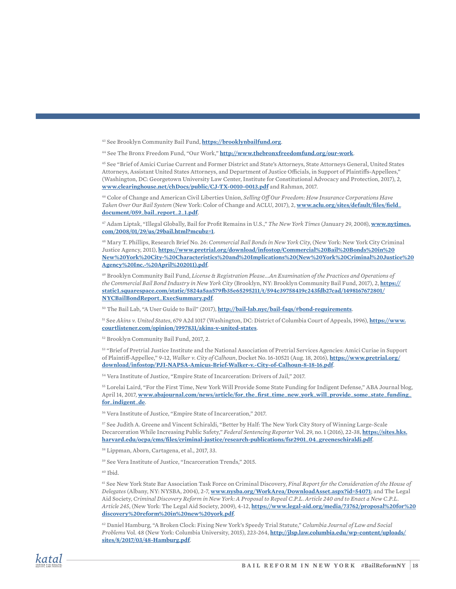43 See Brooklyn Community Bail Fund, **https://brooklynbailfund.org**.

44 See The Bronx Freedom Fund, "Our Work," **http://www.thebronxfreedomfund.org/our-work**.

45 See "Brief of Amici Curiae Current and Former District and State's Attorneys, State Attorneys General, United States Attorneys, Assistant United States Attorneys, and Department of Justice Officials, in Support of Plaintiffs-Appellees," (Washington, DC: Georgetown University Law Center, Institute for Constitutional Advocacy and Protection, 2017), 2, **www.clearinghouse.net/chDocs/public/CJ-TX-0010-0013.pdf** and Rahman, 2017.

46 Color of Change and American Civil Liberties Union, *Selling Off Our Freedom: How Insurance Corporations Have Taken Over Our Bail System* (New York: Color of Change and ACLU, 2017), 2, **www.aclu.org/sites/default/files/field\_ document/059\_bail\_report\_2\_1.pdf**.

47 Adam Liptak, "Illegal Globally, Bail for Profit Remains in U.S.," *The New York Times* (January 29, 2008), **www.nytimes. com/2008/01/29/us/29bail.html?mcubz=1**.

48 Mary T. Phillips, Research Brief No. 26: *Commercial Bail Bonds in New York City*, (New York: New York City Criminal Justice Agency, 2011), **https://www.pretrial.org/download/infostop/Commercial%20Bail%20Bonds%20in%20 New%20York%20City-%20Characteristics%20and%20Implications%20(New%20York%20Criminal%20Justice%20 Agency%20Inc.-%20April%202011).pdf**.

49 Brooklyn Community Bail Fund, *License & Registration Please...An Examination of the Practices and Operations of the Commercial Bail Bond Industry in New York City* (Brooklyn, NY: Brooklyn Community Bail Fund, 2017), 2, **https:// static1.squarespace.com/static/5824a5aa579fb35e65295211/t/594c39758419c243fdb27cad/1498167672801/ NYCBailBondReport\_ExecSummary.pdf**.

50 The Bail Lab, "A User Guide to Bail" (2017), **http://bail-lab.nyc/bail-faqs/#bond-requirements**.

51 See *Akins v. United States*, 679 A2d 1017 (Washington, DC: District of Columbia Court of Appeals, 1996), **https://www. courtlistener.com/opinion/1997831/akins-v-united-states**.

52 Brooklyn Community Bail Fund, 2017, 2.

53 "Brief of Pretrial Justice Institute and the National Association of Pretrial Services Agencies: Amici Curiae in Support of Plaintiff-Appellee," 9-12, *Walker v. City of Calhoun*, Docket No. 16-10521 (Aug. 18, 2016), **https://www.pretrial.org/ download/infostop/PJI-NAPSA-Amicus-Brief-Walker-v.-City-of-Calhoun-8-18-16.pdf**.

54 Vera Institute of Justice, "Empire State of Incarceration: Drivers of Jail," 2017.

55 Lorelai Laird, "For the First Time, New York Will Provide Some State Funding for Indigent Defense," ABA Journal blog, April 14, 2017, **www.abajournal.com/news/article/for\_the\_first\_time\_new\_york\_will\_provide\_some\_state\_funding\_ for\_indigent\_de**.

56 Vera Institute of Justice, "Empire State of Incarceration," 2017.

57 See Judith A. Greene and Vincent Schiraldi, "Better by Half: The New York City Story of Winning Large-Scale Decarceration While Increasing Public Safety," *Federal Sentencing Reporter* Vol. 29, no. 1 (2016), 22-38, **https://sites.hks. harvard.edu/ocpa/cms/files/criminal-justice/research-publications/fsr2901\_04\_greeneschiraldi.pdf**.

58 Lippman, Aborn, Cartagena, et al., 2017, 33.

59 See Vera Institute of Justice, "Incarceration Trends," 2015.

60 Ibid.

61 See New York State Bar Association Task Force on Criminal Discovery, *Final Report for the Consideration of the House of Delegates* (Albany, NY: NYSBA, 2004), 2-7, **www.nysba.org/WorkArea/DownloadAsset.aspx?id=54071**; and The Legal Aid Society, *Criminal Discovery Reform in New York: A Proposal to Repeal C.P.L. Article 240 and to Enact a New C.P.L. Article 245*, (New York: The Legal Aid Society, 2009), 4-12, **https://www.legal-aid.org/media/73762/proposal%20for%20 discovery%20reform%20in%20new%20york.pdf**.

62 Daniel Hamburg, "A Broken Clock: Fixing New York's Speedy Trial Statute," *Columbia Journal of Law and Social Problems* Vol. 48 (New York: Columbia University, 2015), 223-264, **http://jlsp.law.columbia.edu/wp-content/uploads/ sites/8/2017/03/48-Hamburg.pdf**.

![](_page_17_Picture_20.jpeg)